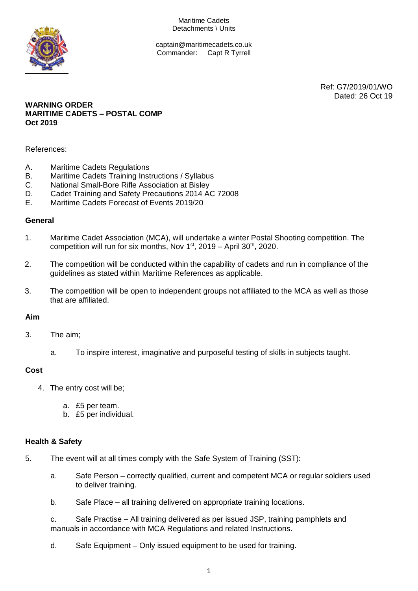Maritime Cadets Detachments \ Units



captain@maritimecadets.co.uk Commander: Capt R Tyrrell

> Ref: G7/2019/01/WO Dated: 26 Oct 19

### **WARNING ORDER MARITIME CADETS – POSTAL COMP Oct 2019**

References:

- A. Maritime Cadets Regulations
- B. Maritime Cadets Training Instructions / Syllabus
- C. National Small-Bore Rifle Association at Bisley
- D. Cadet Training and Safety Precautions 2014 AC 72008
- E. Maritime Cadets Forecast of Events 2019/20

#### **General**

- 1. Maritime Cadet Association (MCA), will undertake a winter Postal Shooting competition. The competition will run for six months, Nov  $1<sup>st</sup>$ , 2019 – April 30<sup>th</sup>, 2020.
- 2. The competition will be conducted within the capability of cadets and run in compliance of the guidelines as stated within Maritime References as applicable.
- 3. The competition will be open to independent groups not affiliated to the MCA as well as those that are affiliated.

#### **Aim**

- 3. The aim;
	- a. To inspire interest, imaginative and purposeful testing of skills in subjects taught.

#### **Cost**

- 4. The entry cost will be;
	- a. £5 per team.
	- b. £5 per individual.

#### **Health & Safety**

- 5. The event will at all times comply with the Safe System of Training (SST):
	- a. Safe Person correctly qualified, current and competent MCA or regular soldiers used to deliver training.
	- b. Safe Place all training delivered on appropriate training locations.
	- c. Safe Practise All training delivered as per issued JSP, training pamphlets and manuals in accordance with MCA Regulations and related Instructions.
	- d. Safe Equipment Only issued equipment to be used for training.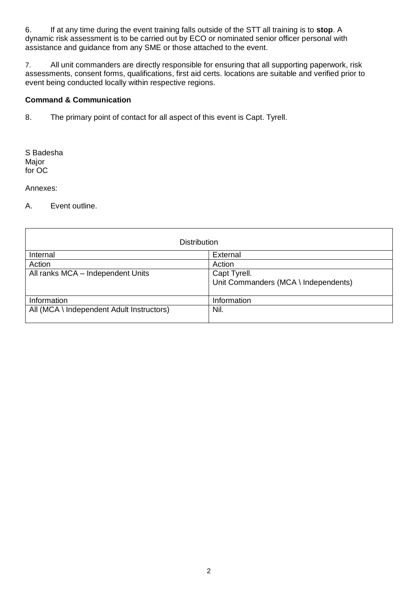6. If at any time during the event training falls outside of the STT all training is to **stop**. A dynamic risk assessment is to be carried out by ECO or nominated senior officer personal with assistance and guidance from any SME or those attached to the event.

7. All unit commanders are directly responsible for ensuring that all supporting paperwork, risk assessments, consent forms, qualifications, first aid certs. locations are suitable and verified prior to event being conducted locally within respective regions.

## **Command & Communication**

8. The primary point of contact for all aspect of this event is Capt. Tyrell.

S Badesha Major for OC

Annexes:

A. Event outline.

| <b>Distribution</b>                       |                                                      |
|-------------------------------------------|------------------------------------------------------|
| Internal                                  | External                                             |
| Action                                    | Action                                               |
| All ranks MCA - Independent Units         | Capt Tyrell.<br>Unit Commanders (MCA \ Independents) |
| Information                               | Information                                          |
| All (MCA \ Independent Adult Instructors) | Nil.                                                 |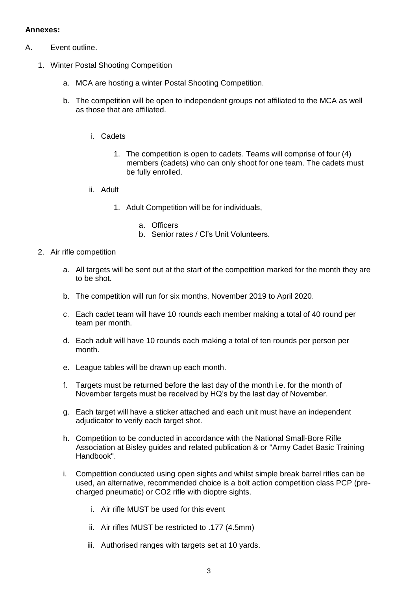# **Annexes:**

- A. Event outline.
	- 1. Winter Postal Shooting Competition
		- a. MCA are hosting a winter Postal Shooting Competition.
		- b. The competition will be open to independent groups not affiliated to the MCA as well as those that are affiliated.
			- i. Cadets
				- 1. The competition is open to cadets. Teams will comprise of four (4) members (cadets) who can only shoot for one team. The cadets must be fully enrolled.
			- ii. Adult
				- 1. Adult Competition will be for individuals,
					- a. Officers
					- b. Senior rates / CI's Unit Volunteers.
	- 2. Air rifle competition
		- a. All targets will be sent out at the start of the competition marked for the month they are to be shot.
		- b. The competition will run for six months, November 2019 to April 2020.
		- c. Each cadet team will have 10 rounds each member making a total of 40 round per team per month.
		- d. Each adult will have 10 rounds each making a total of ten rounds per person per month.
		- e. League tables will be drawn up each month.
		- f. Targets must be returned before the last day of the month i.e. for the month of November targets must be received by HQ's by the last day of November.
		- g. Each target will have a sticker attached and each unit must have an independent adjudicator to verify each target shot.
		- h. Competition to be conducted in accordance with the National Small-Bore Rifle Association at Bisley guides and related publication & or "Army Cadet Basic Training Handbook".
		- i. Competition conducted using open sights and whilst simple break barrel rifles can be used, an alternative, recommended choice is a bolt action competition class PCP (precharged pneumatic) or CO2 rifle with dioptre sights.
			- i. Air rifle MUST be used for this event
			- ii. Air rifles MUST be restricted to .177 (4.5mm)
			- iii. Authorised ranges with targets set at 10 yards.